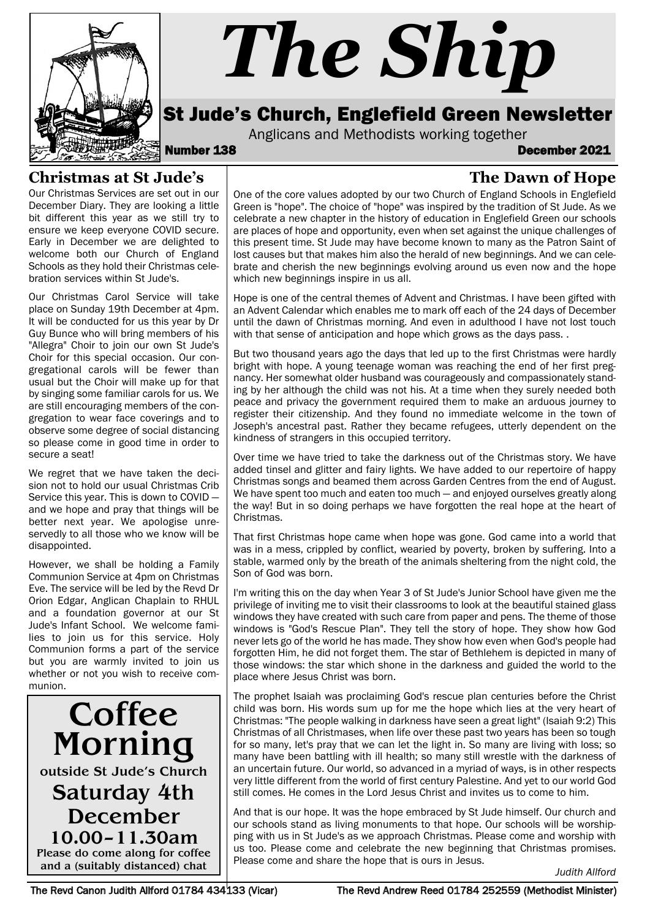

# *The Ship*

## St Jude's Church, Englefield Green Newsletter

Anglicans and Methodists working together<br>**December 138** December 2021

**The Dawn of Hope**

#### **Christmas at St Jude's**

Our Christmas Services are set out in our December Diary. They are looking a little bit different this year as we still try to ensure we keep everyone COVID secure. Early in December we are delighted to welcome both our Church of England Schools as they hold their Christmas celebration services within St Jude's.

Our Christmas Carol Service will take place on Sunday 19th December at 4pm. It will be conducted for us this year by Dr Guy Bunce who will bring members of his "Allegra" Choir to join our own St Jude's Choir for this special occasion. Our congregational carols will be fewer than usual but the Choir will make up for that by singing some familiar carols for us. We are still encouraging members of the congregation to wear face coverings and to observe some degree of social distancing so please come in good time in order to secure a seat!

We regret that we have taken the decision not to hold our usual Christmas Crib Service this year. This is down to COVID and we hope and pray that things will be better next year. We apologise unreservedly to all those who we know will be disappointed.

However, we shall be holding a Family Communion Service at 4pm on Christmas Eve. The service will be led by the Revd Dr Orion Edgar, Anglican Chaplain to RHUL and a foundation governor at our St Jude's Infant School. We welcome families to join us for this service. Holy Communion forms a part of the service but you are warmly invited to join us whether or not you wish to receive communion.

**Coffee** Morning outside St Jude's Church Saturday 4th December 10.00–11.30am Please do come along for coffee and a (suitably distanced) chat

One of the core values adopted by our two Church of England Schools in Englefield Green is "hope". The choice of "hope" was inspired by the tradition of St Jude. As we celebrate a new chapter in the history of education in Englefield Green our schools are places of hope and opportunity, even when set against the unique challenges of this present time. St Jude may have become known to many as the Patron Saint of lost causes but that makes him also the herald of new beginnings. And we can celebrate and cherish the new beginnings evolving around us even now and the hope which new beginnings inspire in us all.

Hope is one of the central themes of Advent and Christmas. I have been gifted with an Advent Calendar which enables me to mark off each of the 24 days of December until the dawn of Christmas morning. And even in adulthood I have not lost touch with that sense of anticipation and hope which grows as the days pass. .

But two thousand years ago the days that led up to the first Christmas were hardly bright with hope. A young teenage woman was reaching the end of her first pregnancy. Her somewhat older husband was courageously and compassionately standing by her although the child was not his. At a time when they surely needed both peace and privacy the government required them to make an arduous journey to register their citizenship. And they found no immediate welcome in the town of Joseph's ancestral past. Rather they became refugees, utterly dependent on the kindness of strangers in this occupied territory.

Over time we have tried to take the darkness out of the Christmas story. We have added tinsel and glitter and fairy lights. We have added to our repertoire of happy Christmas songs and beamed them across Garden Centres from the end of August. We have spent too much and eaten too much – and enjoyed ourselves greatly along the way! But in so doing perhaps we have forgotten the real hope at the heart of Christmas.

That first Christmas hope came when hope was gone. God came into a world that was in a mess, crippled by conflict, wearied by poverty, broken by suffering. Into a stable, warmed only by the breath of the animals sheltering from the night cold, the Son of God was born.

I'm writing this on the day when Year 3 of St Jude's Junior School have given me the privilege of inviting me to visit their classrooms to look at the beautiful stained glass windows they have created with such care from paper and pens. The theme of those windows is "God's Rescue Plan". They tell the story of hope. They show how God never lets go of the world he has made. They show how even when God's people had forgotten Him, he did not forget them. The star of Bethlehem is depicted in many of those windows: the star which shone in the darkness and guided the world to the place where Jesus Christ was born.

The prophet Isaiah was proclaiming God's rescue plan centuries before the Christ child was born. His words sum up for me the hope which lies at the very heart of Christmas: "The people walking in darkness have seen a great light" (Isaiah 9:2) This Christmas of all Christmases, when life over these past two years has been so tough for so many, let's pray that we can let the light in. So many are living with loss; so many have been battling with ill health; so many still wrestle with the darkness of an uncertain future. Our world, so advanced in a myriad of ways, is in other respects very little different from the world of first century Palestine. And yet to our world God still comes. He comes in the Lord Jesus Christ and invites us to come to him.

And that is our hope. It was the hope embraced by St Jude himself. Our church and our schools stand as living monuments to that hope. Our schools will be worshipping with us in St Jude's as we approach Christmas. Please come and worship with us too. Please come and celebrate the new beginning that Christmas promises. Please come and share the hope that is ours in Jesus.

*Judith Allford*